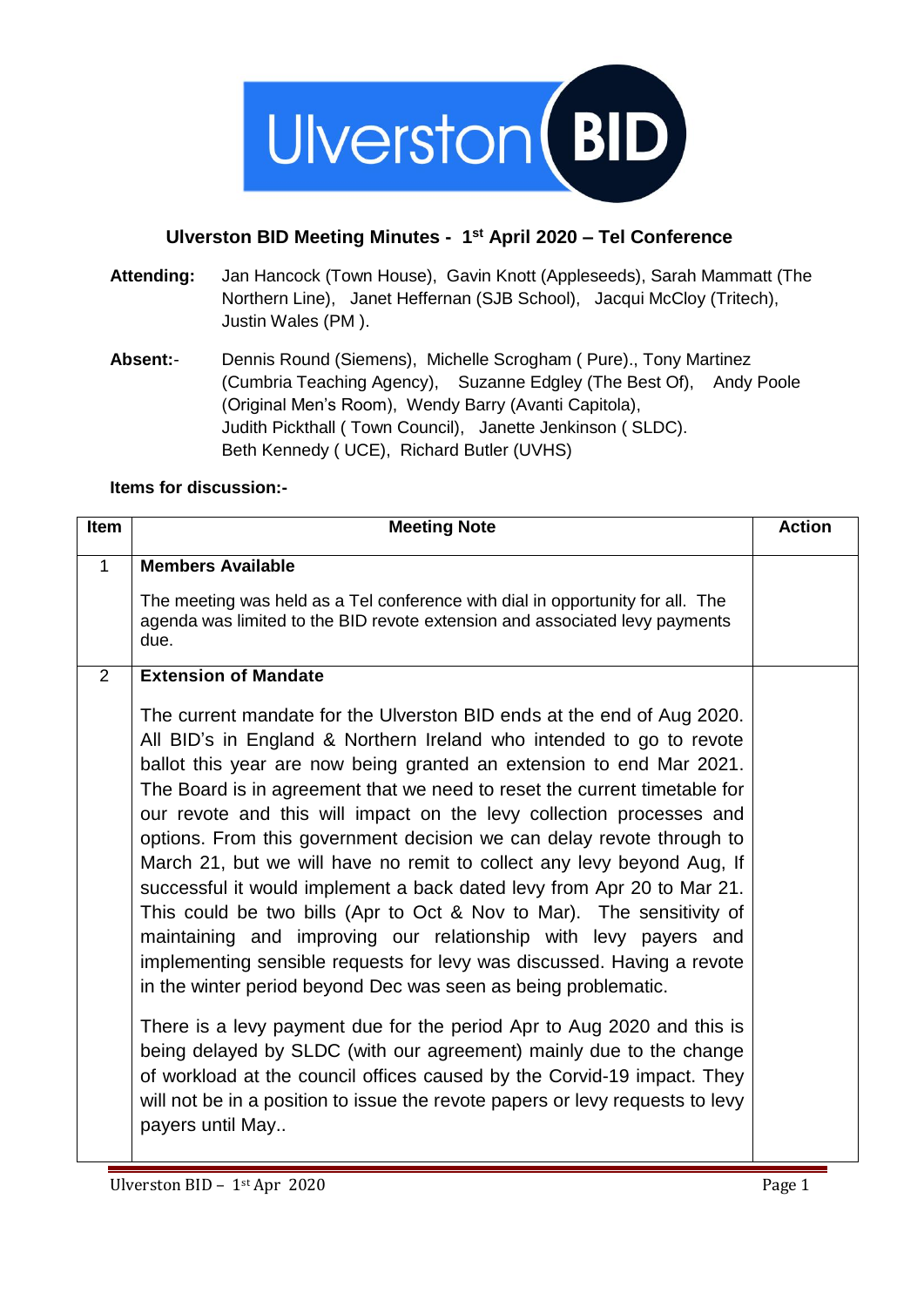

## **Ulverston BID Meeting Minutes - 1 st April 2020 – Tel Conference**

- **Attending:** Jan Hancock (Town House), Gavin Knott (Appleseeds), Sarah Mammatt (The Northern Line), Janet Heffernan (SJB School), Jacqui McCloy (Tritech), Justin Wales (PM ).
- **Absent:** Dennis Round (Siemens), Michelle Scrogham ( Pure)., Tony Martinez (Cumbria Teaching Agency), Suzanne Edgley (The Best Of), Andy Poole (Original Men's Room), Wendy Barry (Avanti Capitola), Judith Pickthall ( Town Council), Janette Jenkinson ( SLDC). Beth Kennedy ( UCE), Richard Butler (UVHS)

## **Items for discussion:-**

| <b>Item</b>  | <b>Meeting Note</b>                                                                                                                                                                                                                                                                                                                                                                                                                                                                                                                                                                                                                                                                                                                                                                                                                                                                                                                                                                                                                                                                                                                                                                                                                                              | <b>Action</b> |
|--------------|------------------------------------------------------------------------------------------------------------------------------------------------------------------------------------------------------------------------------------------------------------------------------------------------------------------------------------------------------------------------------------------------------------------------------------------------------------------------------------------------------------------------------------------------------------------------------------------------------------------------------------------------------------------------------------------------------------------------------------------------------------------------------------------------------------------------------------------------------------------------------------------------------------------------------------------------------------------------------------------------------------------------------------------------------------------------------------------------------------------------------------------------------------------------------------------------------------------------------------------------------------------|---------------|
| $\mathbf{1}$ | <b>Members Available</b><br>The meeting was held as a Tel conference with dial in opportunity for all. The<br>agenda was limited to the BID revote extension and associated levy payments<br>due.                                                                                                                                                                                                                                                                                                                                                                                                                                                                                                                                                                                                                                                                                                                                                                                                                                                                                                                                                                                                                                                                |               |
| 2            | <b>Extension of Mandate</b><br>The current mandate for the Ulverston BID ends at the end of Aug 2020.<br>All BID's in England & Northern Ireland who intended to go to revote<br>ballot this year are now being granted an extension to end Mar 2021.<br>The Board is in agreement that we need to reset the current timetable for<br>our revote and this will impact on the levy collection processes and<br>options. From this government decision we can delay revote through to<br>March 21, but we will have no remit to collect any levy beyond Aug, If<br>successful it would implement a back dated levy from Apr 20 to Mar 21.<br>This could be two bills (Apr to Oct & Nov to Mar). The sensitivity of<br>maintaining and improving our relationship with levy payers and<br>implementing sensible requests for levy was discussed. Having a revote<br>in the winter period beyond Dec was seen as being problematic.<br>There is a levy payment due for the period Apr to Aug 2020 and this is<br>being delayed by SLDC (with our agreement) mainly due to the change<br>of workload at the council offices caused by the Corvid-19 impact. They<br>will not be in a position to issue the revote papers or levy requests to levy<br>payers until May |               |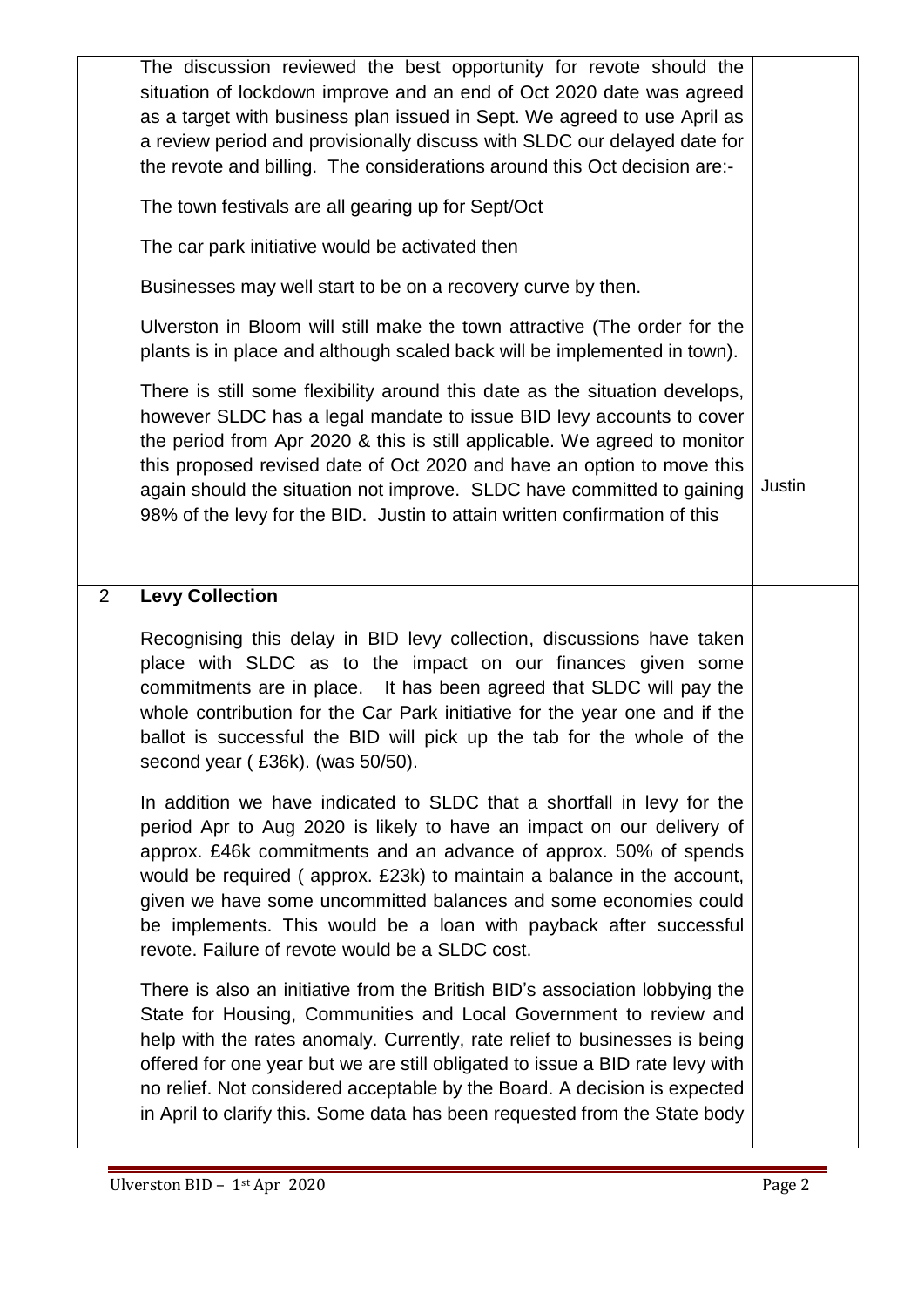|                | The discussion reviewed the best opportunity for revote should the<br>situation of lockdown improve and an end of Oct 2020 date was agreed<br>as a target with business plan issued in Sept. We agreed to use April as<br>a review period and provisionally discuss with SLDC our delayed date for<br>the revote and billing. The considerations around this Oct decision are:-                                                                                                           |        |
|----------------|-------------------------------------------------------------------------------------------------------------------------------------------------------------------------------------------------------------------------------------------------------------------------------------------------------------------------------------------------------------------------------------------------------------------------------------------------------------------------------------------|--------|
|                | The town festivals are all gearing up for Sept/Oct                                                                                                                                                                                                                                                                                                                                                                                                                                        |        |
|                | The car park initiative would be activated then                                                                                                                                                                                                                                                                                                                                                                                                                                           |        |
|                | Businesses may well start to be on a recovery curve by then.                                                                                                                                                                                                                                                                                                                                                                                                                              |        |
|                | Ulverston in Bloom will still make the town attractive (The order for the<br>plants is in place and although scaled back will be implemented in town).                                                                                                                                                                                                                                                                                                                                    |        |
|                | There is still some flexibility around this date as the situation develops,<br>however SLDC has a legal mandate to issue BID levy accounts to cover<br>the period from Apr 2020 & this is still applicable. We agreed to monitor<br>this proposed revised date of Oct 2020 and have an option to move this<br>again should the situation not improve. SLDC have committed to gaining<br>98% of the levy for the BID. Justin to attain written confirmation of this                        | Justin |
| $\overline{2}$ | <b>Levy Collection</b>                                                                                                                                                                                                                                                                                                                                                                                                                                                                    |        |
|                | Recognising this delay in BID levy collection, discussions have taken<br>place with SLDC as to the impact on our finances given some<br>commitments are in place. It has been agreed that SLDC will pay the<br>whole contribution for the Car Park initiative for the year one and if the<br>ballot is successful the BID will pick up the tab for the whole of the<br>second year (£36k). (was 50/50).                                                                                   |        |
|                | In addition we have indicated to SLDC that a shortfall in levy for the<br>period Apr to Aug 2020 is likely to have an impact on our delivery of<br>approx. £46k commitments and an advance of approx. 50% of spends<br>would be required (approx. £23k) to maintain a balance in the account,<br>given we have some uncommitted balances and some economies could<br>be implements. This would be a loan with payback after successful<br>revote. Failure of revote would be a SLDC cost. |        |
|                | There is also an initiative from the British BID's association lobbying the<br>State for Housing, Communities and Local Government to review and<br>help with the rates anomaly. Currently, rate relief to businesses is being<br>offered for one year but we are still obligated to issue a BID rate levy with<br>no relief. Not considered acceptable by the Board. A decision is expected<br>in April to clarify this. Some data has been requested from the State body                |        |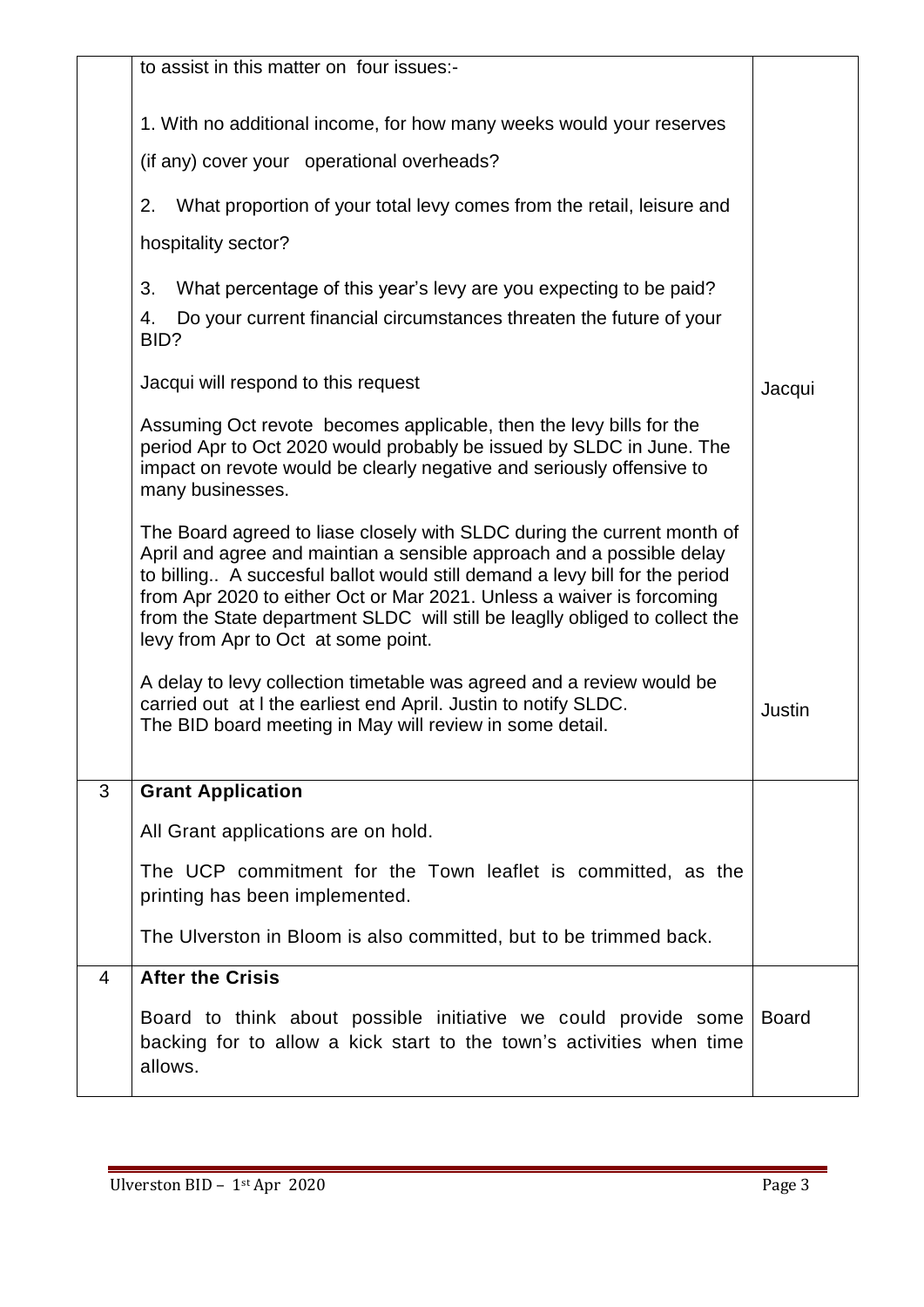|                | to assist in this matter on four issues:-                                                                                                                                                                                                                                                                                                                                                                                      |              |
|----------------|--------------------------------------------------------------------------------------------------------------------------------------------------------------------------------------------------------------------------------------------------------------------------------------------------------------------------------------------------------------------------------------------------------------------------------|--------------|
|                | 1. With no additional income, for how many weeks would your reserves                                                                                                                                                                                                                                                                                                                                                           |              |
|                | (if any) cover your operational overheads?                                                                                                                                                                                                                                                                                                                                                                                     |              |
|                | What proportion of your total levy comes from the retail, leisure and<br>2.                                                                                                                                                                                                                                                                                                                                                    |              |
|                | hospitality sector?                                                                                                                                                                                                                                                                                                                                                                                                            |              |
|                | 3.<br>What percentage of this year's levy are you expecting to be paid?                                                                                                                                                                                                                                                                                                                                                        |              |
|                | Do your current financial circumstances threaten the future of your<br>4.<br>BID?                                                                                                                                                                                                                                                                                                                                              |              |
|                | Jacqui will respond to this request                                                                                                                                                                                                                                                                                                                                                                                            | Jacqui       |
|                | Assuming Oct revote becomes applicable, then the levy bills for the<br>period Apr to Oct 2020 would probably be issued by SLDC in June. The<br>impact on revote would be clearly negative and seriously offensive to<br>many businesses.                                                                                                                                                                                       |              |
|                | The Board agreed to liase closely with SLDC during the current month of<br>April and agree and maintian a sensible approach and a possible delay<br>to billing A succesful ballot would still demand a levy bill for the period<br>from Apr 2020 to either Oct or Mar 2021. Unless a waiver is forcoming<br>from the State department SLDC will still be leaglly obliged to collect the<br>levy from Apr to Oct at some point. |              |
|                | A delay to levy collection timetable was agreed and a review would be<br>carried out at I the earliest end April. Justin to notify SLDC.<br>The BID board meeting in May will review in some detail.                                                                                                                                                                                                                           | Justin       |
| 3              | <b>Grant Application</b>                                                                                                                                                                                                                                                                                                                                                                                                       |              |
|                | All Grant applications are on hold.                                                                                                                                                                                                                                                                                                                                                                                            |              |
|                | The UCP commitment for the Town leaflet is committed, as the<br>printing has been implemented.                                                                                                                                                                                                                                                                                                                                 |              |
|                | The Ulverston in Bloom is also committed, but to be trimmed back.                                                                                                                                                                                                                                                                                                                                                              |              |
| $\overline{4}$ | <b>After the Crisis</b>                                                                                                                                                                                                                                                                                                                                                                                                        |              |
|                | Board to think about possible initiative we could provide some<br>backing for to allow a kick start to the town's activities when time<br>allows.                                                                                                                                                                                                                                                                              | <b>Board</b> |